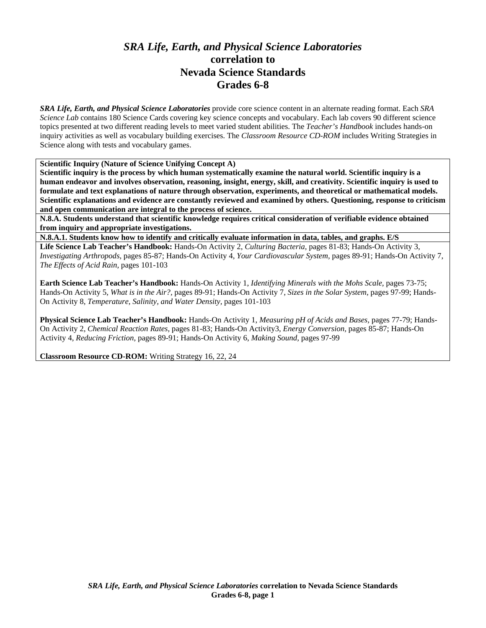## *SRA Life, Earth, and Physical Science Laboratories*  **correlation to Nevada Science Standards Grades 6-8**

*SRA Life, Earth, and Physical Science Laboratories* provide core science content in an alternate reading format. Each *SRA Science Lab* contains 180 Science Cards covering key science concepts and vocabulary. Each lab covers 90 different science topics presented at two different reading levels to meet varied student abilities. The *Teacher's Handbook* includes hands-on inquiry activities as well as vocabulary building exercises. The *Classroom Resource CD-ROM* includes Writing Strategies in Science along with tests and vocabulary games.

**Scientific Inquiry (Nature of Science Unifying Concept A)** 

**Scientific inquiry is the process by which human systematically examine the natural world. Scientific inquiry is a human endeavor and involves observation, reasoning, insight, energy, skill, and creativity. Scientific inquiry is used to formulate and text explanations of nature through observation, experiments, and theoretical or mathematical models. Scientific explanations and evidence are constantly reviewed and examined by others. Questioning, response to criticism and open communication are integral to the process of science.** 

**N.8.A. Students understand that scientific knowledge requires critical consideration of verifiable evidence obtained from inquiry and appropriate investigations.** 

**N.8.A.1. Students know how to identify and critically evaluate information in data, tables, and graphs. E/S Life Science Lab Teacher's Handbook:** Hands-On Activity 2, *Culturing Bacteria,* pages 81-83; Hands-On Activity 3, *Investigating Arthropods,* pages 85-87; Hands-On Activity 4, *Your Cardiovascular System,* pages 89-91; Hands-On Activity 7, *The Effects of Acid Rain,* pages 101-103

**Earth Science Lab Teacher's Handbook:** Hands-On Activity 1, *Identifying Minerals with the Mohs Scale,* pages 73-75; Hands-On Activity 5, *What is in the Air?,* pages 89-91; Hands-On Activity 7, *Sizes in the Solar System,* pages 97-99; Hands-On Activity 8, *Temperature, Salinity, and Water Density,* pages 101-103

**Physical Science Lab Teacher's Handbook:** Hands-On Activity 1, *Measuring pH of Acids and Bases,* pages 77-79; Hands-On Activity 2, *Chemical Reaction Rates,* pages 81-83; Hands-On Activity3, *Energy Conversion,* pages 85-87; Hands-On Activity 4, *Reducing Friction,* pages 89-91; Hands-On Activity 6, *Making Sound,* pages 97-99

**Classroom Resource CD-ROM:** Writing Strategy 16, 22, 24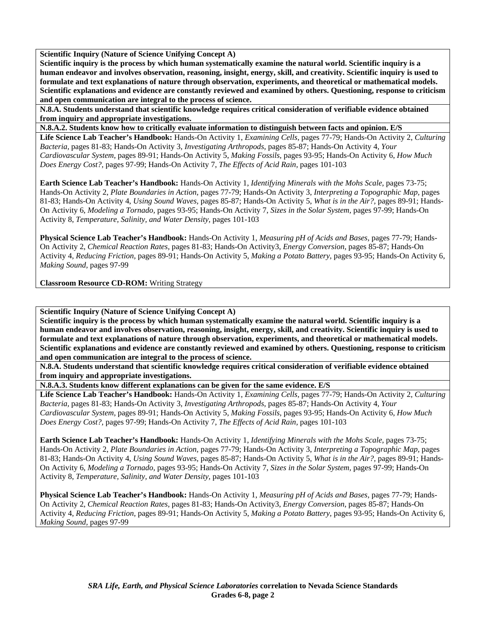**Scientific Inquiry (Nature of Science Unifying Concept A)** 

**Scientific inquiry is the process by which human systematically examine the natural world. Scientific inquiry is a human endeavor and involves observation, reasoning, insight, energy, skill, and creativity. Scientific inquiry is used to formulate and text explanations of nature through observation, experiments, and theoretical or mathematical models. Scientific explanations and evidence are constantly reviewed and examined by others. Questioning, response to criticism and open communication are integral to the process of science.** 

**N.8.A. Students understand that scientific knowledge requires critical consideration of verifiable evidence obtained from inquiry and appropriate investigations.** 

**N.8.A.2. Students know how to critically evaluate information to distinguish between facts and opinion. E/S** 

**Life Science Lab Teacher's Handbook:** Hands-On Activity 1, *Examining Cells,* pages 77-79; Hands-On Activity 2, *Culturing Bacteria,* pages 81-83; Hands-On Activity 3, *Investigating Arthropods,* pages 85-87; Hands-On Activity 4, *Your Cardiovascular System,* pages 89-91; Hands-On Activity 5, *Making Fossils,* pages 93-95; Hands-On Activity 6, *How Much Does Energy Cost?,* pages 97-99; Hands-On Activity 7, *The Effects of Acid Rain,* pages 101-103

**Earth Science Lab Teacher's Handbook:** Hands-On Activity 1, *Identifying Minerals with the Mohs Scale,* pages 73-75; Hands-On Activity 2, *Plate Boundaries in Action,* pages 77-79; Hands-On Activity 3, *Interpreting a Topographic Map,* pages 81-83; Hands-On Activity 4, *Using Sound Waves,* pages 85-87; Hands-On Activity 5, *What is in the Air?,* pages 89-91; Hands-On Activity 6, *Modeling a Tornado,* pages 93-95; Hands-On Activity 7, *Sizes in the Solar System,* pages 97-99; Hands-On Activity 8, *Temperature, Salinity, and Water Density,* pages 101-103

**Physical Science Lab Teacher's Handbook:** Hands-On Activity 1, *Measuring pH of Acids and Bases,* pages 77-79; Hands-On Activity 2, *Chemical Reaction Rates,* pages 81-83; Hands-On Activity3, *Energy Conversion,* pages 85-87; Hands-On Activity 4, *Reducing Friction,* pages 89-91; Hands-On Activity 5, *Making a Potato Battery,* pages 93-95; Hands-On Activity 6, *Making Sound,* pages 97-99

**Classroom Resource CD-ROM:** Writing Strategy

**Scientific Inquiry (Nature of Science Unifying Concept A)** 

**Scientific inquiry is the process by which human systematically examine the natural world. Scientific inquiry is a human endeavor and involves observation, reasoning, insight, energy, skill, and creativity. Scientific inquiry is used to formulate and text explanations of nature through observation, experiments, and theoretical or mathematical models. Scientific explanations and evidence are constantly reviewed and examined by others. Questioning, response to criticism and open communication are integral to the process of science.** 

**N.8.A. Students understand that scientific knowledge requires critical consideration of verifiable evidence obtained from inquiry and appropriate investigations.** 

**N.8.A.3. Students know different explanations can be given for the same evidence. E/S** 

**Life Science Lab Teacher's Handbook:** Hands-On Activity 1, *Examining Cells,* pages 77-79; Hands-On Activity 2, *Culturing Bacteria,* pages 81-83; Hands-On Activity 3, *Investigating Arthropods,* pages 85-87; Hands-On Activity 4, *Your Cardiovascular System,* pages 89-91; Hands-On Activity 5, *Making Fossils,* pages 93-95; Hands-On Activity 6, *How Much Does Energy Cost?,* pages 97-99; Hands-On Activity 7, *The Effects of Acid Rain,* pages 101-103

**Earth Science Lab Teacher's Handbook:** Hands-On Activity 1, *Identifying Minerals with the Mohs Scale,* pages 73-75; Hands-On Activity 2, *Plate Boundaries in Action,* pages 77-79; Hands-On Activity 3, *Interpreting a Topographic Map,* pages 81-83; Hands-On Activity 4, *Using Sound Waves,* pages 85-87; Hands-On Activity 5, *What is in the Air?,* pages 89-91; Hands-On Activity 6, *Modeling a Tornado,* pages 93-95; Hands-On Activity 7, *Sizes in the Solar System,* pages 97-99; Hands-On Activity 8, *Temperature, Salinity, and Water Density,* pages 101-103

**Physical Science Lab Teacher's Handbook:** Hands-On Activity 1, *Measuring pH of Acids and Bases,* pages 77-79; Hands-On Activity 2, *Chemical Reaction Rates,* pages 81-83; Hands-On Activity3, *Energy Conversion,* pages 85-87; Hands-On Activity 4, *Reducing Friction,* pages 89-91; Hands-On Activity 5, *Making a Potato Battery,* pages 93-95; Hands-On Activity 6, *Making Sound,* pages 97-99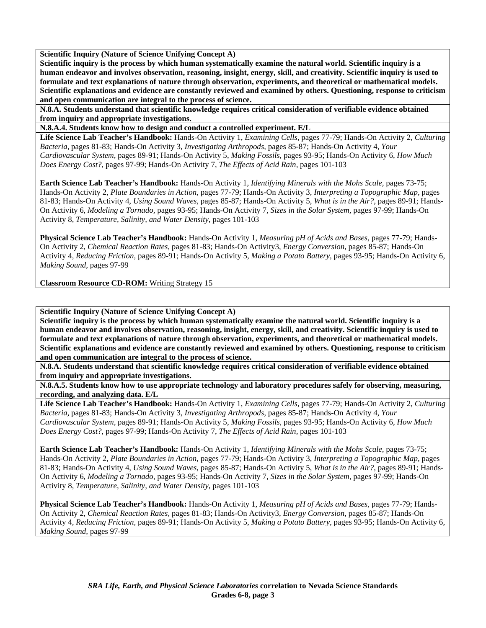**Scientific Inquiry (Nature of Science Unifying Concept A)** 

**Scientific inquiry is the process by which human systematically examine the natural world. Scientific inquiry is a human endeavor and involves observation, reasoning, insight, energy, skill, and creativity. Scientific inquiry is used to formulate and text explanations of nature through observation, experiments, and theoretical or mathematical models. Scientific explanations and evidence are constantly reviewed and examined by others. Questioning, response to criticism and open communication are integral to the process of science.** 

**N.8.A. Students understand that scientific knowledge requires critical consideration of verifiable evidence obtained from inquiry and appropriate investigations.** 

**N.8.A.4. Students know how to design and conduct a controlled experiment. E/L** 

**Life Science Lab Teacher's Handbook:** Hands-On Activity 1, *Examining Cells,* pages 77-79; Hands-On Activity 2, *Culturing Bacteria,* pages 81-83; Hands-On Activity 3, *Investigating Arthropods,* pages 85-87; Hands-On Activity 4, *Your Cardiovascular System,* pages 89-91; Hands-On Activity 5, *Making Fossils,* pages 93-95; Hands-On Activity 6, *How Much Does Energy Cost?,* pages 97-99; Hands-On Activity 7, *The Effects of Acid Rain,* pages 101-103

**Earth Science Lab Teacher's Handbook:** Hands-On Activity 1, *Identifying Minerals with the Mohs Scale,* pages 73-75; Hands-On Activity 2, *Plate Boundaries in Action,* pages 77-79; Hands-On Activity 3, *Interpreting a Topographic Map,* pages 81-83; Hands-On Activity 4, *Using Sound Waves,* pages 85-87; Hands-On Activity 5, *What is in the Air?,* pages 89-91; Hands-On Activity 6, *Modeling a Tornado,* pages 93-95; Hands-On Activity 7, *Sizes in the Solar System,* pages 97-99; Hands-On Activity 8, *Temperature, Salinity, and Water Density,* pages 101-103

**Physical Science Lab Teacher's Handbook:** Hands-On Activity 1, *Measuring pH of Acids and Bases,* pages 77-79; Hands-On Activity 2, *Chemical Reaction Rates,* pages 81-83; Hands-On Activity3, *Energy Conversion,* pages 85-87; Hands-On Activity 4, *Reducing Friction,* pages 89-91; Hands-On Activity 5, *Making a Potato Battery,* pages 93-95; Hands-On Activity 6, *Making Sound,* pages 97-99

**Classroom Resource CD-ROM:** Writing Strategy 15

**Scientific Inquiry (Nature of Science Unifying Concept A)** 

**Scientific inquiry is the process by which human systematically examine the natural world. Scientific inquiry is a human endeavor and involves observation, reasoning, insight, energy, skill, and creativity. Scientific inquiry is used to formulate and text explanations of nature through observation, experiments, and theoretical or mathematical models. Scientific explanations and evidence are constantly reviewed and examined by others. Questioning, response to criticism and open communication are integral to the process of science.** 

**N.8.A. Students understand that scientific knowledge requires critical consideration of verifiable evidence obtained from inquiry and appropriate investigations.** 

**N.8.A.5. Students know how to use appropriate technology and laboratory procedures safely for observing, measuring, recording, and analyzing data. E/L** 

**Life Science Lab Teacher's Handbook:** Hands-On Activity 1, *Examining Cells,* pages 77-79; Hands-On Activity 2, *Culturing Bacteria,* pages 81-83; Hands-On Activity 3, *Investigating Arthropods,* pages 85-87; Hands-On Activity 4, *Your Cardiovascular System,* pages 89-91; Hands-On Activity 5, *Making Fossils,* pages 93-95; Hands-On Activity 6, *How Much Does Energy Cost?,* pages 97-99; Hands-On Activity 7, *The Effects of Acid Rain,* pages 101-103

**Earth Science Lab Teacher's Handbook:** Hands-On Activity 1, *Identifying Minerals with the Mohs Scale,* pages 73-75; Hands-On Activity 2, *Plate Boundaries in Action,* pages 77-79; Hands-On Activity 3, *Interpreting a Topographic Map,* pages 81-83; Hands-On Activity 4, *Using Sound Waves,* pages 85-87; Hands-On Activity 5, *What is in the Air?,* pages 89-91; Hands-On Activity 6, *Modeling a Tornado,* pages 93-95; Hands-On Activity 7, *Sizes in the Solar System,* pages 97-99; Hands-On Activity 8, *Temperature, Salinity, and Water Density,* pages 101-103

**Physical Science Lab Teacher's Handbook:** Hands-On Activity 1, *Measuring pH of Acids and Bases,* pages 77-79; Hands-On Activity 2, *Chemical Reaction Rates,* pages 81-83; Hands-On Activity3, *Energy Conversion,* pages 85-87; Hands-On Activity 4, *Reducing Friction,* pages 89-91; Hands-On Activity 5, *Making a Potato Battery,* pages 93-95; Hands-On Activity 6, *Making Sound,* pages 97-99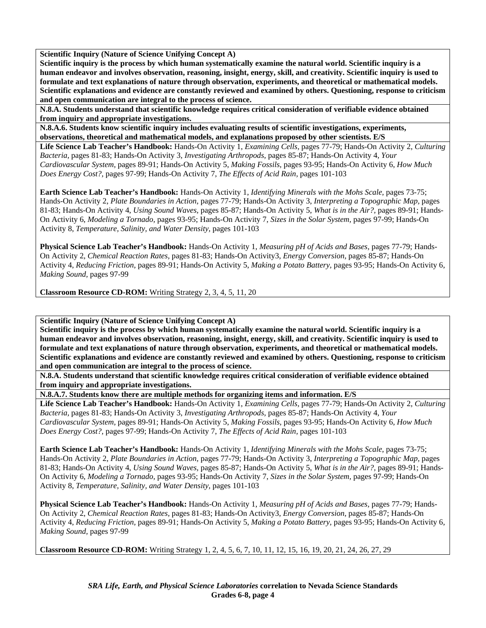**Scientific Inquiry (Nature of Science Unifying Concept A)** 

**Scientific inquiry is the process by which human systematically examine the natural world. Scientific inquiry is a human endeavor and involves observation, reasoning, insight, energy, skill, and creativity. Scientific inquiry is used to formulate and text explanations of nature through observation, experiments, and theoretical or mathematical models. Scientific explanations and evidence are constantly reviewed and examined by others. Questioning, response to criticism and open communication are integral to the process of science.** 

**N.8.A. Students understand that scientific knowledge requires critical consideration of verifiable evidence obtained from inquiry and appropriate investigations.** 

**N.8.A.6. Students know scientific inquiry includes evaluating results of scientific investigations, experiments, observations, theoretical and mathematical models, and explanations proposed by other scientists. E/S** 

**Life Science Lab Teacher's Handbook:** Hands-On Activity 1, *Examining Cells,* pages 77-79; Hands-On Activity 2, *Culturing Bacteria,* pages 81-83; Hands-On Activity 3, *Investigating Arthropods,* pages 85-87; Hands-On Activity 4, *Your Cardiovascular System,* pages 89-91; Hands-On Activity 5, *Making Fossils,* pages 93-95; Hands-On Activity 6, *How Much Does Energy Cost?,* pages 97-99; Hands-On Activity 7, *The Effects of Acid Rain,* pages 101-103

**Earth Science Lab Teacher's Handbook:** Hands-On Activity 1, *Identifying Minerals with the Mohs Scale,* pages 73-75; Hands-On Activity 2, *Plate Boundaries in Action,* pages 77-79; Hands-On Activity 3, *Interpreting a Topographic Map,* pages 81-83; Hands-On Activity 4, *Using Sound Waves,* pages 85-87; Hands-On Activity 5, *What is in the Air?,* pages 89-91; Hands-On Activity 6, *Modeling a Tornado,* pages 93-95; Hands-On Activity 7, *Sizes in the Solar System,* pages 97-99; Hands-On Activity 8, *Temperature, Salinity, and Water Density,* pages 101-103

**Physical Science Lab Teacher's Handbook:** Hands-On Activity 1, *Measuring pH of Acids and Bases,* pages 77-79; Hands-On Activity 2, *Chemical Reaction Rates,* pages 81-83; Hands-On Activity3, *Energy Conversion,* pages 85-87; Hands-On Activity 4, *Reducing Friction,* pages 89-91; Hands-On Activity 5, *Making a Potato Battery,* pages 93-95; Hands-On Activity 6, *Making Sound,* pages 97-99

**Classroom Resource CD-ROM:** Writing Strategy 2, 3, 4, 5, 11, 20

**Scientific Inquiry (Nature of Science Unifying Concept A)** 

**Scientific inquiry is the process by which human systematically examine the natural world. Scientific inquiry is a human endeavor and involves observation, reasoning, insight, energy, skill, and creativity. Scientific inquiry is used to formulate and text explanations of nature through observation, experiments, and theoretical or mathematical models. Scientific explanations and evidence are constantly reviewed and examined by others. Questioning, response to criticism and open communication are integral to the process of science.** 

**N.8.A. Students understand that scientific knowledge requires critical consideration of verifiable evidence obtained from inquiry and appropriate investigations.** 

**N.8.A.7. Students know there are multiple methods for organizing items and information. E/S** 

**Life Science Lab Teacher's Handbook:** Hands-On Activity 1, *Examining Cells,* pages 77-79; Hands-On Activity 2, *Culturing Bacteria,* pages 81-83; Hands-On Activity 3, *Investigating Arthropods,* pages 85-87; Hands-On Activity 4, *Your Cardiovascular System,* pages 89-91; Hands-On Activity 5, *Making Fossils,* pages 93-95; Hands-On Activity 6, *How Much Does Energy Cost?,* pages 97-99; Hands-On Activity 7, *The Effects of Acid Rain,* pages 101-103

**Earth Science Lab Teacher's Handbook:** Hands-On Activity 1, *Identifying Minerals with the Mohs Scale,* pages 73-75; Hands-On Activity 2, *Plate Boundaries in Action,* pages 77-79; Hands-On Activity 3, *Interpreting a Topographic Map,* pages 81-83; Hands-On Activity 4, *Using Sound Waves,* pages 85-87; Hands-On Activity 5, *What is in the Air?,* pages 89-91; Hands-On Activity 6, *Modeling a Tornado,* pages 93-95; Hands-On Activity 7, *Sizes in the Solar System,* pages 97-99; Hands-On Activity 8, *Temperature, Salinity, and Water Density,* pages 101-103

**Physical Science Lab Teacher's Handbook:** Hands-On Activity 1, *Measuring pH of Acids and Bases,* pages 77-79; Hands-On Activity 2, *Chemical Reaction Rates,* pages 81-83; Hands-On Activity3, *Energy Conversion,* pages 85-87; Hands-On Activity 4, *Reducing Friction,* pages 89-91; Hands-On Activity 5, *Making a Potato Battery,* pages 93-95; Hands-On Activity 6, *Making Sound,* pages 97-99

**Classroom Resource CD-ROM:** Writing Strategy 1, 2, 4, 5, 6, 7, 10, 11, 12, 15, 16, 19, 20, 21, 24, 26, 27, 29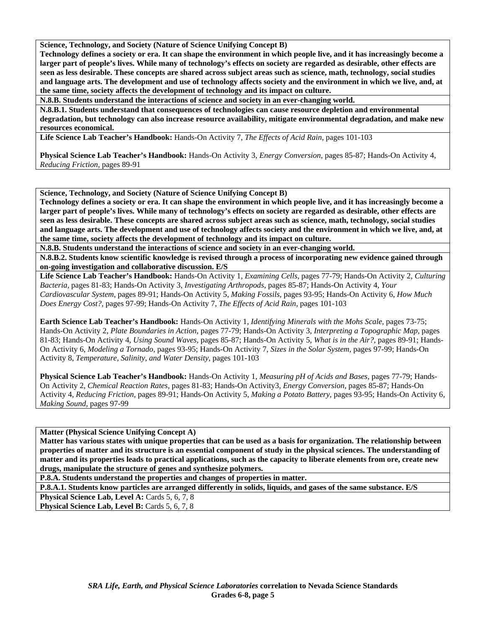**Science, Technology, and Society (Nature of Science Unifying Concept B)** 

**Technology defines a society or era. It can shape the environment in which people live, and it has increasingly become a larger part of people's lives. While many of technology's effects on society are regarded as desirable, other effects are seen as less desirable. These concepts are shared across subject areas such as science, math, technology, social studies and language arts. The development and use of technology affects society and the environment in which we live, and, at the same time, society affects the development of technology and its impact on culture.** 

**N.8.B. Students understand the interactions of science and society in an ever-changing world.** 

**N.8.B.1. Students understand that consequences of technologies can cause resource depletion and environmental degradation, but technology can also increase resource availability, mitigate environmental degradation, and make new resources economical.** 

**Life Science Lab Teacher's Handbook:** Hands-On Activity 7, *The Effects of Acid Rain,* pages 101-103

**Physical Science Lab Teacher's Handbook:** Hands-On Activity 3, *Energy Conversion,* pages 85-87; Hands-On Activity 4, *Reducing Friction,* pages 89-91

**Science, Technology, and Society (Nature of Science Unifying Concept B)** 

**Technology defines a society or era. It can shape the environment in which people live, and it has increasingly become a larger part of people's lives. While many of technology's effects on society are regarded as desirable, other effects are seen as less desirable. These concepts are shared across subject areas such as science, math, technology, social studies and language arts. The development and use of technology affects society and the environment in which we live, and, at the same time, society affects the development of technology and its impact on culture.** 

**N.8.B. Students understand the interactions of science and society in an ever-changing world.** 

**N.8.B.2. Students know scientific knowledge is revised through a process of incorporating new evidence gained through on-going investigation and collaborative discussion. E/S** 

**Life Science Lab Teacher's Handbook:** Hands-On Activity 1, *Examining Cells,* pages 77-79; Hands-On Activity 2, *Culturing Bacteria,* pages 81-83; Hands-On Activity 3, *Investigating Arthropods,* pages 85-87; Hands-On Activity 4, *Your Cardiovascular System,* pages 89-91; Hands-On Activity 5, *Making Fossils,* pages 93-95; Hands-On Activity 6, *How Much Does Energy Cost?,* pages 97-99; Hands-On Activity 7, *The Effects of Acid Rain,* pages 101-103

**Earth Science Lab Teacher's Handbook:** Hands-On Activity 1, *Identifying Minerals with the Mohs Scale,* pages 73-75; Hands-On Activity 2, *Plate Boundaries in Action,* pages 77-79; Hands-On Activity 3, *Interpreting a Topographic Map,* pages 81-83; Hands-On Activity 4, *Using Sound Waves,* pages 85-87; Hands-On Activity 5, *What is in the Air?,* pages 89-91; Hands-On Activity 6, *Modeling a Tornado,* pages 93-95; Hands-On Activity 7, *Sizes in the Solar System,* pages 97-99; Hands-On Activity 8, *Temperature, Salinity, and Water Density,* pages 101-103

**Physical Science Lab Teacher's Handbook:** Hands-On Activity 1, *Measuring pH of Acids and Bases,* pages 77-79; Hands-On Activity 2, *Chemical Reaction Rates,* pages 81-83; Hands-On Activity3, *Energy Conversion,* pages 85-87; Hands-On Activity 4, *Reducing Friction,* pages 89-91; Hands-On Activity 5, *Making a Potato Battery,* pages 93-95; Hands-On Activity 6, *Making Sound,* pages 97-99

**Matter (Physical Science Unifying Concept A)** 

**Matter has various states with unique properties that can be used as a basis for organization. The relationship between properties of matter and its structure is an essential component of study in the physical sciences. The understanding of matter and its properties leads to practical applications, such as the capacity to liberate elements from ore, create new drugs, manipulate the structure of genes and synthesize polymers.** 

**P.8.A. Students understand the properties and changes of properties in matter.** 

**P.8.A.1. Students know particles are arranged differently in solids, liquids, and gases of the same substance. E/S** 

Physical Science Lab, Level A: Cards 5, 6, 7, 8 Physical Science Lab, Level B: Cards 5, 6, 7, 8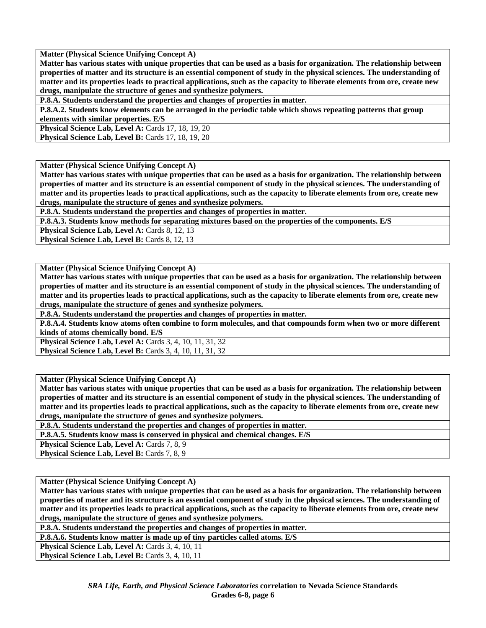**Matter (Physical Science Unifying Concept A)** 

**Matter has various states with unique properties that can be used as a basis for organization. The relationship between properties of matter and its structure is an essential component of study in the physical sciences. The understanding of matter and its properties leads to practical applications, such as the capacity to liberate elements from ore, create new drugs, manipulate the structure of genes and synthesize polymers.** 

**P.8.A. Students understand the properties and changes of properties in matter.** 

**P.8.A.2. Students know elements can be arranged in the periodic table which shows repeating patterns that group elements with similar properties. E/S** 

**Physical Science Lab, Level A: Cards 17, 18, 19, 20** 

**Physical Science Lab, Level B: Cards 17, 18, 19, 20** 

**Matter (Physical Science Unifying Concept A)** 

**Matter has various states with unique properties that can be used as a basis for organization. The relationship between properties of matter and its structure is an essential component of study in the physical sciences. The understanding of matter and its properties leads to practical applications, such as the capacity to liberate elements from ore, create new drugs, manipulate the structure of genes and synthesize polymers.** 

**P.8.A. Students understand the properties and changes of properties in matter.** 

**P.8.A.3. Students know methods for separating mixtures based on the properties of the components. E/S** 

**Physical Science Lab, Level A: Cards 8, 12, 13** 

Physical Science Lab, Level B: Cards 8, 12, 13

**Matter (Physical Science Unifying Concept A)** 

**Matter has various states with unique properties that can be used as a basis for organization. The relationship between properties of matter and its structure is an essential component of study in the physical sciences. The understanding of matter and its properties leads to practical applications, such as the capacity to liberate elements from ore, create new drugs, manipulate the structure of genes and synthesize polymers.** 

**P.8.A. Students understand the properties and changes of properties in matter.** 

**P.8.A.4. Students know atoms often combine to form molecules, and that compounds form when two or more different kinds of atoms chemically bond. E/S** 

**Physical Science Lab, Level A: Cards 3, 4, 10, 11, 31, 32 Physical Science Lab, Level B:** Cards 3, 4, 10, 11, 31, 32

**Matter (Physical Science Unifying Concept A)** 

**Matter has various states with unique properties that can be used as a basis for organization. The relationship between properties of matter and its structure is an essential component of study in the physical sciences. The understanding of matter and its properties leads to practical applications, such as the capacity to liberate elements from ore, create new drugs, manipulate the structure of genes and synthesize polymers.** 

**P.8.A. Students understand the properties and changes of properties in matter.** 

**P.8.A.5. Students know mass is conserved in physical and chemical changes. E/S** 

**Physical Science Lab, Level A: Cards 7, 8, 9** 

Physical Science Lab, Level B: Cards 7, 8, 9

**Matter (Physical Science Unifying Concept A)** 

**Matter has various states with unique properties that can be used as a basis for organization. The relationship between properties of matter and its structure is an essential component of study in the physical sciences. The understanding of matter and its properties leads to practical applications, such as the capacity to liberate elements from ore, create new drugs, manipulate the structure of genes and synthesize polymers.** 

**P.8.A. Students understand the properties and changes of properties in matter.** 

**P.8.A.6. Students know matter is made up of tiny particles called atoms. E/S** 

**Physical Science Lab, Level A: Cards 3, 4, 10, 11** 

Physical Science Lab, Level B: Cards 3, 4, 10, 11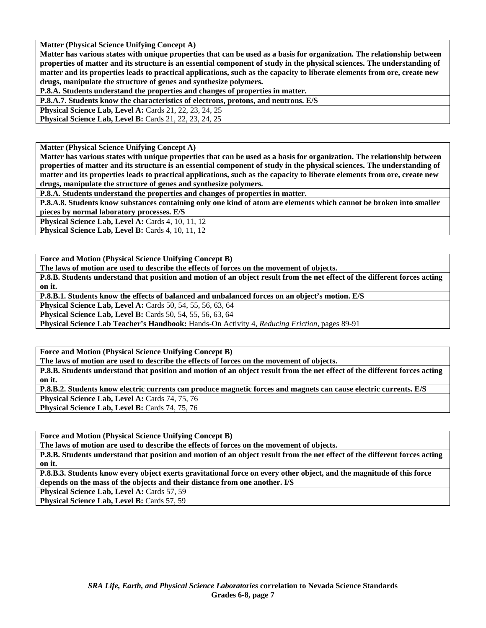**Matter (Physical Science Unifying Concept A)** 

**Matter has various states with unique properties that can be used as a basis for organization. The relationship between properties of matter and its structure is an essential component of study in the physical sciences. The understanding of matter and its properties leads to practical applications, such as the capacity to liberate elements from ore, create new drugs, manipulate the structure of genes and synthesize polymers.** 

**P.8.A. Students understand the properties and changes of properties in matter.** 

**P.8.A.7. Students know the characteristics of electrons, protons, and neutrons. E/S** 

**Physical Science Lab, Level A: Cards 21, 22, 23, 24, 25** 

**Physical Science Lab, Level B:** Cards 21, 22, 23, 24, 25

**Matter (Physical Science Unifying Concept A)** 

**Matter has various states with unique properties that can be used as a basis for organization. The relationship between properties of matter and its structure is an essential component of study in the physical sciences. The understanding of matter and its properties leads to practical applications, such as the capacity to liberate elements from ore, create new drugs, manipulate the structure of genes and synthesize polymers.** 

**P.8.A. Students understand the properties and changes of properties in matter.** 

**P.8.A.8. Students know substances containing only one kind of atom are elements which cannot be broken into smaller pieces by normal laboratory processes. E/S** 

Physical Science Lab, Level A: Cards 4, 10, 11, 12 Physical Science Lab, Level B: Cards 4, 10, 11, 12

**Force and Motion (Physical Science Unifying Concept B)** 

**The laws of motion are used to describe the effects of forces on the movement of objects.** 

**P.8.B. Students understand that position and motion of an object result from the net effect of the different forces acting on it.** 

**P.8.B.1. Students know the effects of balanced and unbalanced forces on an object's motion. E/S** 

**Physical Science Lab, Level A:** Cards 50, 54, 55, 56, 63, 64

**Physical Science Lab, Level B:** Cards 50, 54, 55, 56, 63, 64

**Physical Science Lab Teacher's Handbook:** Hands-On Activity 4, *Reducing Friction,* pages 89-91

**Force and Motion (Physical Science Unifying Concept B)** 

**The laws of motion are used to describe the effects of forces on the movement of objects.** 

**P.8.B. Students understand that position and motion of an object result from the net effect of the different forces acting on it.** 

**P.8.B.2. Students know electric currents can produce magnetic forces and magnets can cause electric currents. E/S** 

Physical Science Lab, Level A: Cards 74, 75, 76 Physical Science Lab, Level B: Cards 74, 75, 76

**Force and Motion (Physical Science Unifying Concept B)** 

**The laws of motion are used to describe the effects of forces on the movement of objects.** 

**P.8.B. Students understand that position and motion of an object result from the net effect of the different forces acting on it.** 

**P.8.B.3. Students know every object exerts gravitational force on every other object, and the magnitude of this force depends on the mass of the objects and their distance from one another. I/S** 

**Physical Science Lab, Level A: Cards 57, 59** 

Physical Science Lab, Level B: Cards 57, 59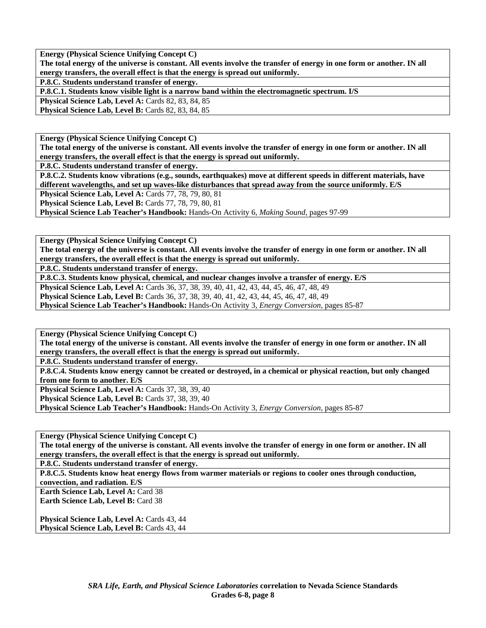**Energy (Physical Science Unifying Concept C) The total energy of the universe is constant. All events involve the transfer of energy in one form or another. IN all energy transfers, the overall effect is that the energy is spread out uniformly.** 

**P.8.C. Students understand transfer of energy.** 

**P.8.C.1. Students know visible light is a narrow band within the electromagnetic spectrum. I/S** 

**Physical Science Lab, Level A: Cards 82, 83, 84, 85 Physical Science Lab, Level B: Cards 82, 83, 84, 85** 

**Energy (Physical Science Unifying Concept C)** 

**The total energy of the universe is constant. All events involve the transfer of energy in one form or another. IN all energy transfers, the overall effect is that the energy is spread out uniformly.** 

**P.8.C. Students understand transfer of energy.** 

**P.8.C.2. Students know vibrations (e.g., sounds, earthquakes) move at different speeds in different materials, have different wavelengths, and set up waves-like disturbances that spread away from the source uniformly. E/S** 

**Physical Science Lab, Level A:** Cards 77, 78, 79, 80, 81

**Physical Science Lab, Level B: Cards 77, 78, 79, 80, 81** 

**Physical Science Lab Teacher's Handbook:** Hands-On Activity 6, *Making Sound,* pages 97-99

**Energy (Physical Science Unifying Concept C)** 

**The total energy of the universe is constant. All events involve the transfer of energy in one form or another. IN all energy transfers, the overall effect is that the energy is spread out uniformly.** 

**P.8.C. Students understand transfer of energy.** 

**P.8.C.3. Students know physical, chemical, and nuclear changes involve a transfer of energy. E/S** 

**Physical Science Lab, Level A:** Cards 36, 37, 38, 39, 40, 41, 42, 43, 44, 45, 46, 47, 48, 49

**Physical Science Lab, Level B:** Cards 36, 37, 38, 39, 40, 41, 42, 43, 44, 45, 46, 47, 48, 49

**Physical Science Lab Teacher's Handbook:** Hands-On Activity 3, *Energy Conversion,* pages 85-87

**Energy (Physical Science Unifying Concept C)** 

**The total energy of the universe is constant. All events involve the transfer of energy in one form or another. IN all energy transfers, the overall effect is that the energy is spread out uniformly.** 

**P.8.C. Students understand transfer of energy.** 

**P.8.C.4. Students know energy cannot be created or destroyed, in a chemical or physical reaction, but only changed from one form to another. E/S** 

**Physical Science Lab, Level A: Cards 37, 38, 39, 40** 

**Physical Science Lab, Level B:** Cards 37, 38, 39, 40

**Physical Science Lab Teacher's Handbook:** Hands-On Activity 3, *Energy Conversion,* pages 85-87

**Energy (Physical Science Unifying Concept C)** 

**The total energy of the universe is constant. All events involve the transfer of energy in one form or another. IN all energy transfers, the overall effect is that the energy is spread out uniformly.** 

**P.8.C. Students understand transfer of energy.** 

**P.8.C.5. Students know heat energy flows from warmer materials or regions to cooler ones through conduction,** 

**convection, and radiation. E/S** 

**Earth Science Lab, Level A: Card 38 Earth Science Lab, Level B:** Card 38

**Physical Science Lab, Level A: Cards 43, 44 Physical Science Lab, Level B: Cards 43, 44**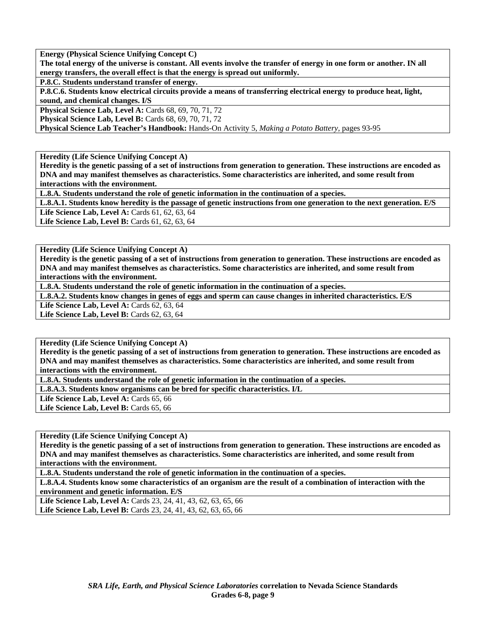**Energy (Physical Science Unifying Concept C)** 

**The total energy of the universe is constant. All events involve the transfer of energy in one form or another. IN all energy transfers, the overall effect is that the energy is spread out uniformly.** 

**P.8.C. Students understand transfer of energy.** 

**P.8.C.6. Students know electrical circuits provide a means of transferring electrical energy to produce heat, light, sound, and chemical changes. I/S** 

**Physical Science Lab, Level A: Cards 68, 69, 70, 71, 72** 

**Physical Science Lab, Level B:** Cards 68, 69, 70, 71, 72

**Physical Science Lab Teacher's Handbook:** Hands-On Activity 5, *Making a Potato Battery,* pages 93-95

**Heredity (Life Science Unifying Concept A)** 

**Heredity is the genetic passing of a set of instructions from generation to generation. These instructions are encoded as DNA and may manifest themselves as characteristics. Some characteristics are inherited, and some result from interactions with the environment.** 

**L.8.A. Students understand the role of genetic information in the continuation of a species.** 

**L.8.A.1. Students know heredity is the passage of genetic instructions from one generation to the next generation. E/S** 

Life Science Lab, Level A: Cards 61, 62, 63, 64

Life Science Lab, Level B: Cards 61, 62, 63, 64

**Heredity (Life Science Unifying Concept A)** 

**Heredity is the genetic passing of a set of instructions from generation to generation. These instructions are encoded as DNA and may manifest themselves as characteristics. Some characteristics are inherited, and some result from interactions with the environment.** 

**L.8.A. Students understand the role of genetic information in the continuation of a species.** 

**L.8.A.2. Students know changes in genes of eggs and sperm can cause changes in inherited characteristics. E/S** 

Life Science Lab, Level A: Cards 62, 63, 64

**Life Science Lab, Level B: Cards 62, 63, 64** 

**Heredity (Life Science Unifying Concept A)** 

**Heredity is the genetic passing of a set of instructions from generation to generation. These instructions are encoded as DNA and may manifest themselves as characteristics. Some characteristics are inherited, and some result from interactions with the environment.** 

**L.8.A. Students understand the role of genetic information in the continuation of a species.** 

**L.8.A.3. Students know organisms can be bred for specific characteristics. I/L** 

Life Science Lab, Level A: Cards 65, 66

Life Science Lab, Level B: Cards 65, 66

**Heredity (Life Science Unifying Concept A)** 

**Heredity is the genetic passing of a set of instructions from generation to generation. These instructions are encoded as DNA and may manifest themselves as characteristics. Some characteristics are inherited, and some result from interactions with the environment.** 

**L.8.A. Students understand the role of genetic information in the continuation of a species.** 

**L.8.A.4. Students know some characteristics of an organism are the result of a combination of interaction with the environment and genetic information. E/S** 

**Life Science Lab, Level A:** Cards 23, 24, 41, 43, 62, 63, 65, 66 **Life Science Lab, Level B:** Cards 23, 24, 41, 43, 62, 63, 65, 66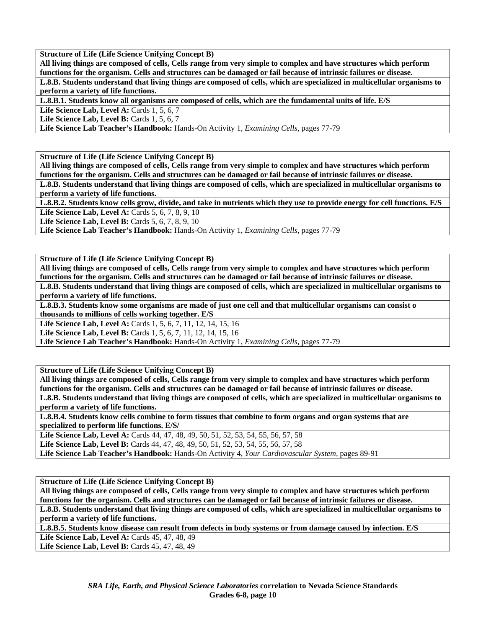**Structure of Life (Life Science Unifying Concept B)** 

**All living things are composed of cells, Cells range from very simple to complex and have structures which perform functions for the organism. Cells and structures can be damaged or fail because of intrinsic failures or disease.** 

**L.8.B. Students understand that living things are composed of cells, which are specialized in multicellular organisms to perform a variety of life functions.** 

**L.8.B.1. Students know all organisms are composed of cells, which are the fundamental units of life. E/S** 

**Life Science Lab, Level A: Cards 1, 5, 6, 7** 

**Life Science Lab, Level B:** Cards 1, 5, 6, 7

**Life Science Lab Teacher's Handbook:** Hands-On Activity 1, *Examining Cells,* pages 77-79

**Structure of Life (Life Science Unifying Concept B)** 

**All living things are composed of cells, Cells range from very simple to complex and have structures which perform functions for the organism. Cells and structures can be damaged or fail because of intrinsic failures or disease.** 

**L.8.B. Students understand that living things are composed of cells, which are specialized in multicellular organisms to perform a variety of life functions.** 

**L.8.B.2. Students know cells grow, divide, and take in nutrients which they use to provide energy for cell functions. E/S Life Science Lab, Level A: Cards 5, 6, 7, 8, 9, 10** 

**Life Science Lab, Level B:** Cards 5, 6, 7, 8, 9, 10

**Life Science Lab Teacher's Handbook:** Hands-On Activity 1, *Examining Cells,* pages 77-79

**Structure of Life (Life Science Unifying Concept B)** 

**All living things are composed of cells, Cells range from very simple to complex and have structures which perform functions for the organism. Cells and structures can be damaged or fail because of intrinsic failures or disease.** 

**L.8.B. Students understand that living things are composed of cells, which are specialized in multicellular organisms to perform a variety of life functions.** 

**L.8.B.3. Students know some organisms are made of just one cell and that multicellular organisms can consist o thousands to millions of cells working together. E/S** 

Life Science Lab, Level A: Cards 1, 5, 6, 7, 11, 12, 14, 15, 16

**Life Science Lab, Level B:** Cards 1, 5, 6, 7, 11, 12, 14, 15, 16

**Life Science Lab Teacher's Handbook:** Hands-On Activity 1, *Examining Cells,* pages 77-79

**Structure of Life (Life Science Unifying Concept B)** 

**All living things are composed of cells, Cells range from very simple to complex and have structures which perform functions for the organism. Cells and structures can be damaged or fail because of intrinsic failures or disease. L.8.B. Students understand that living things are composed of cells, which are specialized in multicellular organisms to perform a variety of life functions.** 

**L.8.B.4. Students know cells combine to form tissues that combine to form organs and organ systems that are specialized to perform life functions. E/S/** 

**Life Science Lab, Level A:** Cards 44, 47, 48, 49, 50, 51, 52, 53, 54, 55, 56, 57, 58

**Life Science Lab, Level B:** Cards 44, 47, 48, 49, 50, 51, 52, 53, 54, 55, 56, 57, 58

**Life Science Lab Teacher's Handbook:** Hands-On Activity 4, *Your Cardiovascular System,* pages 89-91

**Structure of Life (Life Science Unifying Concept B)** 

**All living things are composed of cells, Cells range from very simple to complex and have structures which perform functions for the organism. Cells and structures can be damaged or fail because of intrinsic failures or disease.** 

**L.8.B. Students understand that living things are composed of cells, which are specialized in multicellular organisms to perform a variety of life functions.** 

**L.8.B.5. Students know disease can result from defects in body systems or from damage caused by infection. E/S** 

Life Science Lab, Level A: Cards 45, 47, 48, 49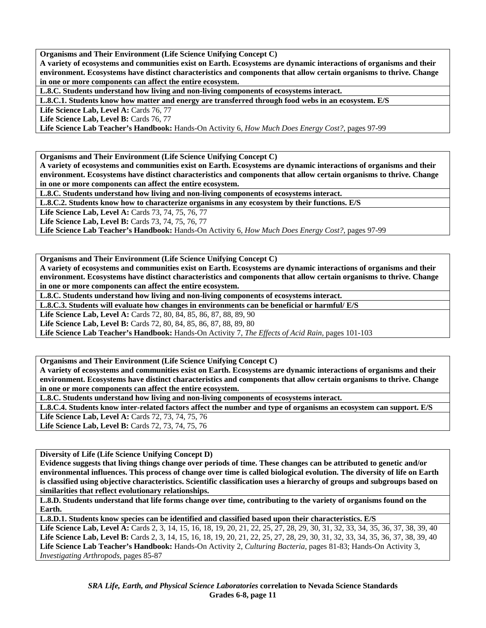**Organisms and Their Environment (Life Science Unifying Concept C)** 

**A variety of ecosystems and communities exist on Earth. Ecosystems are dynamic interactions of organisms and their environment. Ecosystems have distinct characteristics and components that allow certain organisms to thrive. Change in one or more components can affect the entire ecosystem.** 

**L.8.C. Students understand how living and non-living components of ecosystems interact.** 

**L.8.C.1. Students know how matter and energy are transferred through food webs in an ecosystem. E/S** 

Life Science Lab, Level A: Cards 76, 77

Life Science Lab, Level B: Cards 76, 77

**Life Science Lab Teacher's Handbook:** Hands-On Activity 6, *How Much Does Energy Cost?,* pages 97-99

**Organisms and Their Environment (Life Science Unifying Concept C)** 

**A variety of ecosystems and communities exist on Earth. Ecosystems are dynamic interactions of organisms and their environment. Ecosystems have distinct characteristics and components that allow certain organisms to thrive. Change in one or more components can affect the entire ecosystem.** 

**L.8.C. Students understand how living and non-living components of ecosystems interact.** 

**L.8.C.2. Students know how to characterize organisms in any ecosystem by their functions. E/S** 

Life Science Lab, Level A: Cards 73, 74, 75, 76, 77

Life Science Lab, Level B: Cards 73, 74, 75, 76, 77

**Life Science Lab Teacher's Handbook:** Hands-On Activity 6, *How Much Does Energy Cost?,* pages 97-99

**Organisms and Their Environment (Life Science Unifying Concept C)** 

**A variety of ecosystems and communities exist on Earth. Ecosystems are dynamic interactions of organisms and their environment. Ecosystems have distinct characteristics and components that allow certain organisms to thrive. Change in one or more components can affect the entire ecosystem.** 

**L.8.C. Students understand how living and non-living components of ecosystems interact.** 

**L.8.C.3. Students will evaluate how changes in environments can be beneficial or harmful/ E/S** 

Life Science Lab, Level A: Cards 72, 80, 84, 85, 86, 87, 88, 89, 90

Life Science Lab, Level B: Cards 72, 80, 84, 85, 86, 87, 88, 89, 80

**Life Science Lab Teacher's Handbook:** Hands-On Activity 7, *The Effects of Acid Rain,* pages 101-103

**Organisms and Their Environment (Life Science Unifying Concept C)** 

**A variety of ecosystems and communities exist on Earth. Ecosystems are dynamic interactions of organisms and their environment. Ecosystems have distinct characteristics and components that allow certain organisms to thrive. Change in one or more components can affect the entire ecosystem.** 

**L.8.C. Students understand how living and non-living components of ecosystems interact.** 

**L.8.C.4. Students know inter-related factors affect the number and type of organisms an ecosystem can support. E/S Life Science Lab, Level A:** Cards 72, 73, 74, 75, 76 Life Science Lab, Level B: Cards 72, 73, 74, 75, 76

**Diversity of Life (Life Science Unifying Concept D)** 

**Evidence suggests that living things change over periods of time. These changes can be attributed to genetic and/or environmental influences. This process of change over time is called biological evolution. The diversity of life on Earth is classified using objective characteristics. Scientific classification uses a hierarchy of groups and subgroups based on similarities that reflect evolutionary relationships.** 

**L.8.D. Students understand that life forms change over time, contributing to the variety of organisms found on the Earth.** 

**L.8.D.1. Students know species can be identified and classified based upon their characteristics. E/S** 

Life Science Lab, Level A: Cards 2, 3, 14, 15, 16, 18, 19, 20, 21, 22, 25, 27, 28, 29, 30, 31, 32, 33, 34, 35, 36, 37, 38, 39, 40 Life Science Lab, Level B: Cards 2, 3, 14, 15, 16, 18, 19, 20, 21, 22, 25, 27, 28, 29, 30, 31, 32, 33, 34, 35, 36, 37, 38, 39, 40 **Life Science Lab Teacher's Handbook:** Hands-On Activity 2, *Culturing Bacteria,* pages 81-83; Hands-On Activity 3, *Investigating Arthropods,* pages 85-87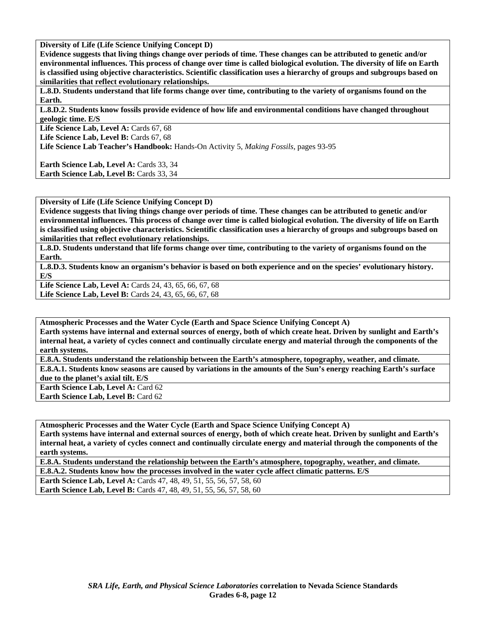**Diversity of Life (Life Science Unifying Concept D)** 

**Evidence suggests that living things change over periods of time. These changes can be attributed to genetic and/or environmental influences. This process of change over time is called biological evolution. The diversity of life on Earth is classified using objective characteristics. Scientific classification uses a hierarchy of groups and subgroups based on similarities that reflect evolutionary relationships.** 

L.8.D. Students understand that life forms change over time, contributing to the variety of organisms found on the **Earth.** 

**L.8.D.2. Students know fossils provide evidence of how life and environmental conditions have changed throughout geologic time. E/S** 

Life Science Lab, Level A: Cards 67, 68

Life Science Lab, Level B: Cards 67, 68

**Life Science Lab Teacher's Handbook:** Hands-On Activity 5, *Making Fossils,* pages 93-95

Earth Science Lab, Level A: Cards 33, 34 Earth Science Lab, Level B: Cards 33, 34

**Diversity of Life (Life Science Unifying Concept D)** 

**Evidence suggests that living things change over periods of time. These changes can be attributed to genetic and/or environmental influences. This process of change over time is called biological evolution. The diversity of life on Earth is classified using objective characteristics. Scientific classification uses a hierarchy of groups and subgroups based on similarities that reflect evolutionary relationships.** 

**L.8.D. Students understand that life forms change over time, contributing to the variety of organisms found on the Earth.** 

**L.8.D.3. Students know an organism's behavior is based on both experience and on the species' evolutionary history. E/S** 

**Life Science Lab, Level A:** Cards 24, 43, 65, 66, 67, 68 **Life Science Lab, Level B:** Cards 24, 43, 65, 66, 67, 68

**Atmospheric Processes and the Water Cycle (Earth and Space Science Unifying Concept A) Earth systems have internal and external sources of energy, both of which create heat. Driven by sunlight and Earth's internal heat, a variety of cycles connect and continually circulate energy and material through the components of the earth systems.** 

**E.8.A. Students understand the relationship between the Earth's atmosphere, topography, weather, and climate.** 

**E.8.A.1. Students know seasons are caused by variations in the amounts of the Sun's energy reaching Earth's surface due to the planet's axial tilt. E/S** 

**Earth Science Lab, Level A: Card 62 Earth Science Lab, Level B: Card 62** 

**Atmospheric Processes and the Water Cycle (Earth and Space Science Unifying Concept A) Earth systems have internal and external sources of energy, both of which create heat. Driven by sunlight and Earth's internal heat, a variety of cycles connect and continually circulate energy and material through the components of the earth systems.** 

**E.8.A. Students understand the relationship between the Earth's atmosphere, topography, weather, and climate.** 

**E.8.A.2. Students know how the processes involved in the water cycle affect climatic patterns. E/S** 

**Earth Science Lab, Level A: Cards 47, 48, 49, 51, 55, 56, 57, 58, 60 Earth Science Lab, Level B:** Cards 47, 48, 49, 51, 55, 56, 57, 58, 60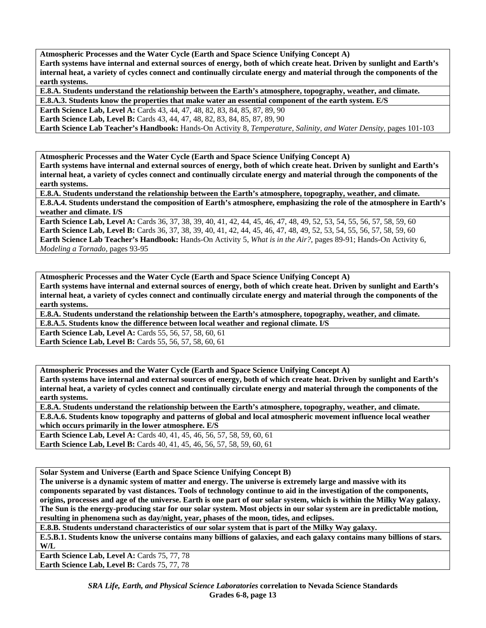**Atmospheric Processes and the Water Cycle (Earth and Space Science Unifying Concept A) Earth systems have internal and external sources of energy, both of which create heat. Driven by sunlight and Earth's internal heat, a variety of cycles connect and continually circulate energy and material through the components of the earth systems.** 

**E.8.A. Students understand the relationship between the Earth's atmosphere, topography, weather, and climate. E.8.A.3. Students know the properties that make water an essential component of the earth system. E/S** 

**Earth Science Lab, Level A: Cards 43, 44, 47, 48, 82, 83, 84, 85, 87, 89, 90** 

**Earth Science Lab, Level B:** Cards 43, 44, 47, 48, 82, 83, 84, 85, 87, 89, 90

**Earth Science Lab Teacher's Handbook:** Hands-On Activity 8, *Temperature, Salinity, and Water Density,* pages 101-103

**Atmospheric Processes and the Water Cycle (Earth and Space Science Unifying Concept A)** 

**Earth systems have internal and external sources of energy, both of which create heat. Driven by sunlight and Earth's internal heat, a variety of cycles connect and continually circulate energy and material through the components of the earth systems.** 

**E.8.A. Students understand the relationship between the Earth's atmosphere, topography, weather, and climate. E.8.A.4. Students understand the composition of Earth's atmosphere, emphasizing the role of the atmosphere in Earth's weather and climate. I/S** 

**Earth Science Lab, Level A:** Cards 36, 37, 38, 39, 40, 41, 42, 44, 45, 46, 47, 48, 49, 52, 53, 54, 55, 56, 57, 58, 59, 60 **Earth Science Lab, Level B:** Cards 36, 37, 38, 39, 40, 41, 42, 44, 45, 46, 47, 48, 49, 52, 53, 54, 55, 56, 57, 58, 59, 60 **Earth Science Lab Teacher's Handbook:** Hands-On Activity 5, *What is in the Air?,* pages 89-91; Hands-On Activity 6, *Modeling a Tornado,* pages 93-95

**Atmospheric Processes and the Water Cycle (Earth and Space Science Unifying Concept A) Earth systems have internal and external sources of energy, both of which create heat. Driven by sunlight and Earth's internal heat, a variety of cycles connect and continually circulate energy and material through the components of the earth systems.** 

**E.8.A. Students understand the relationship between the Earth's atmosphere, topography, weather, and climate.** 

**E.8.A.5. Students know the difference between local weather and regional climate. I/S** 

**Earth Science Lab, Level A: Cards 55, 56, 57, 58, 60, 61 Earth Science Lab, Level B: Cards 55, 56, 57, 58, 60, 61** 

**Atmospheric Processes and the Water Cycle (Earth and Space Science Unifying Concept A) Earth systems have internal and external sources of energy, both of which create heat. Driven by sunlight and Earth's internal heat, a variety of cycles connect and continually circulate energy and material through the components of the earth systems.** 

**E.8.A. Students understand the relationship between the Earth's atmosphere, topography, weather, and climate. E.8.A.6. Students know topography and patterns of global and local atmospheric movement influence local weather which occurs primarily in the lower atmosphere. E/S** 

**Earth Science Lab, Level A: Cards 40, 41, 45, 46, 56, 57, 58, 59, 60, 61 Earth Science Lab, Level B:** Cards 40, 41, 45, 46, 56, 57, 58, 59, 60, 61

**Solar System and Universe (Earth and Space Science Unifying Concept B)** 

**The universe is a dynamic system of matter and energy. The universe is extremely large and massive with its components separated by vast distances. Tools of technology continue to aid in the investigation of the components, origins, processes and age of the universe. Earth is one part of our solar system, which is within the Milky Way galaxy. The Sun is the energy-producing star for our solar system. Most objects in our solar system are in predictable motion, resulting in phenomena such as day/night, year, phases of the moon, tides, and eclipses.** 

**E.8.B. Students understand characteristics of our solar system that is part of the Milky Way galaxy.** 

**E.5.B.1. Students know the universe contains many billions of galaxies, and each galaxy contains many billions of stars. W/L** 

Earth Science Lab, Level A: Cards 75, 77, 78 Earth Science Lab, Level B: Cards 75, 77, 78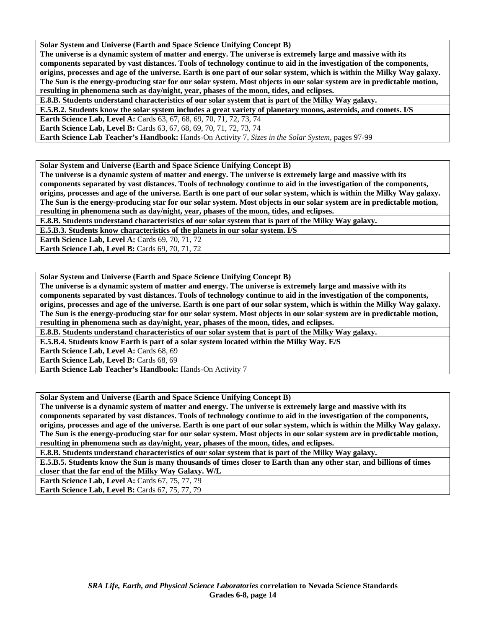**Solar System and Universe (Earth and Space Science Unifying Concept B)** 

**The universe is a dynamic system of matter and energy. The universe is extremely large and massive with its components separated by vast distances. Tools of technology continue to aid in the investigation of the components, origins, processes and age of the universe. Earth is one part of our solar system, which is within the Milky Way galaxy. The Sun is the energy-producing star for our solar system. Most objects in our solar system are in predictable motion, resulting in phenomena such as day/night, year, phases of the moon, tides, and eclipses.** 

**E.8.B. Students understand characteristics of our solar system that is part of the Milky Way galaxy.** 

**E.5.B.2. Students know the solar system includes a great variety of planetary moons, asteroids, and comets. I/S** 

**Earth Science Lab, Level A: Cards 63, 67, 68, 69, 70, 71, 72, 73, 74** 

**Earth Science Lab, Level B:** Cards 63, 67, 68, 69, 70, 71, 72, 73, 74

**Earth Science Lab Teacher's Handbook:** Hands-On Activity 7, *Sizes in the Solar System,* pages 97-99

**Solar System and Universe (Earth and Space Science Unifying Concept B)** 

**The universe is a dynamic system of matter and energy. The universe is extremely large and massive with its components separated by vast distances. Tools of technology continue to aid in the investigation of the components, origins, processes and age of the universe. Earth is one part of our solar system, which is within the Milky Way galaxy. The Sun is the energy-producing star for our solar system. Most objects in our solar system are in predictable motion, resulting in phenomena such as day/night, year, phases of the moon, tides, and eclipses.** 

**E.8.B. Students understand characteristics of our solar system that is part of the Milky Way galaxy.** 

**E.5.B.3. Students know characteristics of the planets in our solar system. I/S** 

**Earth Science Lab, Level A: Cards 69, 70, 71, 72 Earth Science Lab, Level B: Cards 69, 70, 71, 72** 

**Solar System and Universe (Earth and Space Science Unifying Concept B)** 

**The universe is a dynamic system of matter and energy. The universe is extremely large and massive with its components separated by vast distances. Tools of technology continue to aid in the investigation of the components, origins, processes and age of the universe. Earth is one part of our solar system, which is within the Milky Way galaxy. The Sun is the energy-producing star for our solar system. Most objects in our solar system are in predictable motion, resulting in phenomena such as day/night, year, phases of the moon, tides, and eclipses.** 

**E.8.B. Students understand characteristics of our solar system that is part of the Milky Way galaxy.** 

**E.5.B.4. Students know Earth is part of a solar system located within the Milky Way. E/S** 

**Earth Science Lab, Level A: Cards 68, 69** 

**Earth Science Lab, Level B: Cards 68, 69** 

**Earth Science Lab Teacher's Handbook:** Hands-On Activity 7

**Solar System and Universe (Earth and Space Science Unifying Concept B)** 

**The universe is a dynamic system of matter and energy. The universe is extremely large and massive with its components separated by vast distances. Tools of technology continue to aid in the investigation of the components, origins, processes and age of the universe. Earth is one part of our solar system, which is within the Milky Way galaxy. The Sun is the energy-producing star for our solar system. Most objects in our solar system are in predictable motion, resulting in phenomena such as day/night, year, phases of the moon, tides, and eclipses.** 

**E.8.B. Students understand characteristics of our solar system that is part of the Milky Way galaxy.** 

**E.5.B.5. Students know the Sun is many thousands of times closer to Earth than any other star, and billions of times closer that the far end of the Milky Way Galaxy. W/L** 

**Earth Science Lab, Level A: Cards 67, 75, 77, 79** 

**Earth Science Lab, Level B: Cards 67, 75, 77, 79**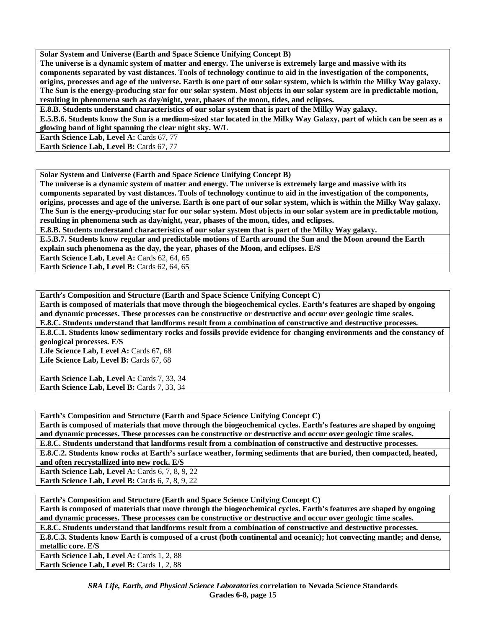**Solar System and Universe (Earth and Space Science Unifying Concept B)** 

**The universe is a dynamic system of matter and energy. The universe is extremely large and massive with its components separated by vast distances. Tools of technology continue to aid in the investigation of the components, origins, processes and age of the universe. Earth is one part of our solar system, which is within the Milky Way galaxy. The Sun is the energy-producing star for our solar system. Most objects in our solar system are in predictable motion, resulting in phenomena such as day/night, year, phases of the moon, tides, and eclipses.** 

**E.8.B. Students understand characteristics of our solar system that is part of the Milky Way galaxy.** 

**E.5.B.6. Students know the Sun is a medium-sized star located in the Milky Way Galaxy, part of which can be seen as a glowing band of light spanning the clear night sky. W/L** 

**Earth Science Lab, Level A: Cards 67, 77** 

**Earth Science Lab, Level B: Cards 67, 77** 

**Solar System and Universe (Earth and Space Science Unifying Concept B)** 

**The universe is a dynamic system of matter and energy. The universe is extremely large and massive with its components separated by vast distances. Tools of technology continue to aid in the investigation of the components, origins, processes and age of the universe. Earth is one part of our solar system, which is within the Milky Way galaxy. The Sun is the energy-producing star for our solar system. Most objects in our solar system are in predictable motion, resulting in phenomena such as day/night, year, phases of the moon, tides, and eclipses.** 

**E.8.B. Students understand characteristics of our solar system that is part of the Milky Way galaxy.** 

**E.5.B.7. Students know regular and predictable motions of Earth around the Sun and the Moon around the Earth explain such phenomena as the day, the year, phases of the Moon, and eclipses. E/S** 

**Earth Science Lab, Level A: Cards 62, 64, 65** 

**Earth Science Lab, Level B: Cards 62, 64, 65** 

**Earth's Composition and Structure (Earth and Space Science Unifying Concept C)** 

**Earth is composed of materials that move through the biogeochemical cycles. Earth's features are shaped by ongoing and dynamic processes. These processes can be constructive or destructive and occur over geologic time scales. E.8.C. Students understand that landforms result from a combination of constructive and destructive processes.** 

**E.8.C.1. Students know sedimentary rocks and fossils provide evidence for changing environments and the constancy of geological processes. E/S** 

Life Science Lab, Level A: Cards 67, 68 Life Science Lab, Level B: Cards 67, 68

**Earth Science Lab, Level A: Cards 7, 33, 34** Earth Science Lab, Level B: Cards 7, 33, 34

**Earth's Composition and Structure (Earth and Space Science Unifying Concept C)** 

**Earth is composed of materials that move through the biogeochemical cycles. Earth's features are shaped by ongoing and dynamic processes. These processes can be constructive or destructive and occur over geologic time scales.** 

**E.8.C. Students understand that landforms result from a combination of constructive and destructive processes.** 

**E.8.C.2. Students know rocks at Earth's surface weather, forming sediments that are buried, then compacted, heated, and often recrystallized into new rock. E/S** 

**Earth Science Lab, Level A: Cards 6, 7, 8, 9, 22 Earth Science Lab, Level B: Cards 6, 7, 8, 9, 22** 

**Earth's Composition and Structure (Earth and Space Science Unifying Concept C)** 

**Earth is composed of materials that move through the biogeochemical cycles. Earth's features are shaped by ongoing and dynamic processes. These processes can be constructive or destructive and occur over geologic time scales.** 

**E.8.C. Students understand that landforms result from a combination of constructive and destructive processes.** 

**E.8.C.3. Students know Earth is composed of a crust (both continental and oceanic); hot convecting mantle; and dense, metallic core. E/S** 

Earth Science Lab, Level A: Cards 1, 2, 88 **Earth Science Lab, Level B: Cards 1, 2, 88**